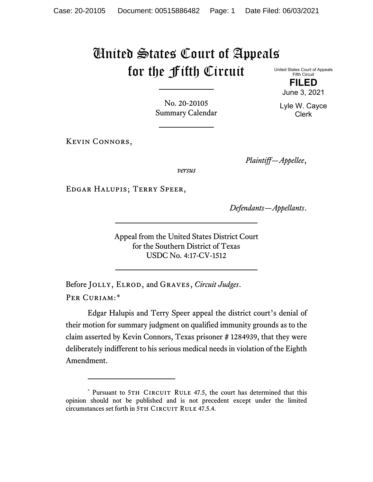## United States Court of Appeals for the Fifth Circuit

United States Court of Appeals Fifth Circuit **FILED**

No. 20-20105 Summary Calendar

Kevin Connors,

*Plaintiff—Appellee*,

*versus*

Edgar Halupis; Terry Speer,

*Defendants—Appellants*.

Appeal from the United States District Court for the Southern District of Texas USDC No. 4:17-CV-1512

Before Jolly, Elrod, and Graves, *Circuit Judges*. PER CURIAM:[\\*](#page-0-0)

Edgar Halupis and Terry Speer appeal the district court's denial of their motion for summary judgment on qualified immunity grounds as to the claim asserted by Kevin Connors, Texas prisoner # 1284939, that they were deliberately indifferent to his serious medical needs in violation of the Eighth Amendment.

June 3, 2021 Lyle W. Cayce

Clerk

<span id="page-0-0"></span><sup>\*</sup> Pursuant to 5TH CIRCUIT RULE 47.5, the court has determined that this opinion should not be published and is not precedent except under the limited circumstances set forth in 5TH CIRCUIT RULE 47.5.4.